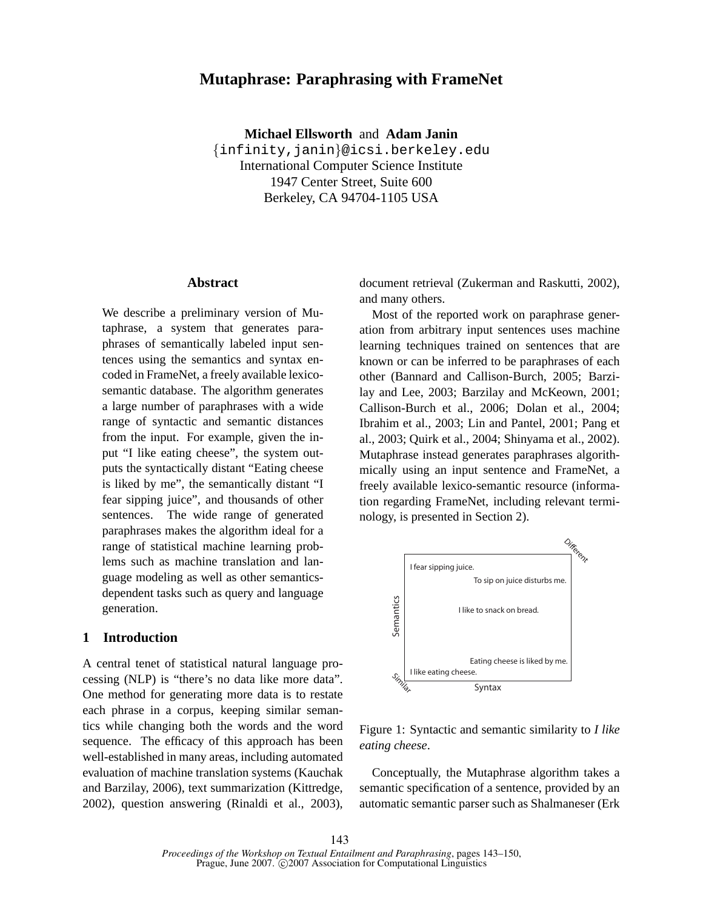# **Mutaphrase: Paraphrasing with FrameNet**

**Michael Ellsworth** and **Adam Janin**

{infinity,janin}@icsi.berkeley.edu International Computer Science Institute 1947 Center Street, Suite 600 Berkeley, CA 94704-1105 USA

## **Abstract**

We describe a preliminary version of Mutaphrase, a system that generates paraphrases of semantically labeled input sentences using the semantics and syntax encoded in FrameNet, a freely available lexicosemantic database. The algorithm generates a large number of paraphrases with a wide range of syntactic and semantic distances from the input. For example, given the input "I like eating cheese", the system outputs the syntactically distant "Eating cheese is liked by me", the semantically distant "I fear sipping juice", and thousands of other sentences. The wide range of generated paraphrases makes the algorithm ideal for a range of statistical machine learning problems such as machine translation and language modeling as well as other semanticsdependent tasks such as query and language generation.

# **1 Introduction**

A central tenet of statistical natural language processing (NLP) is "there's no data like more data". One method for generating more data is to restate each phrase in a corpus, keeping similar semantics while changing both the words and the word sequence. The efficacy of this approach has been well-established in many areas, including automated evaluation of machine translation systems (Kauchak and Barzilay, 2006), text summarization (Kittredge, 2002), question answering (Rinaldi et al., 2003), document retrieval (Zukerman and Raskutti, 2002), and many others.

Most of the reported work on paraphrase generation from arbitrary input sentences uses machine learning techniques trained on sentences that are known or can be inferred to be paraphrases of each other (Bannard and Callison-Burch, 2005; Barzilay and Lee, 2003; Barzilay and McKeown, 2001; Callison-Burch et al., 2006; Dolan et al., 2004; Ibrahim et al., 2003; Lin and Pantel, 2001; Pang et al., 2003; Quirk et al., 2004; Shinyama et al., 2002). Mutaphrase instead generates paraphrases algorithmically using an input sentence and FrameNet, a freely available lexico-semantic resource (information regarding FrameNet, including relevant terminology, is presented in Section 2).



Figure 1: Syntactic and semantic similarity to *I like eating cheese*.

Conceptually, the Mutaphrase algorithm takes a semantic specification of a sentence, provided by an automatic semantic parser such as Shalmaneser (Erk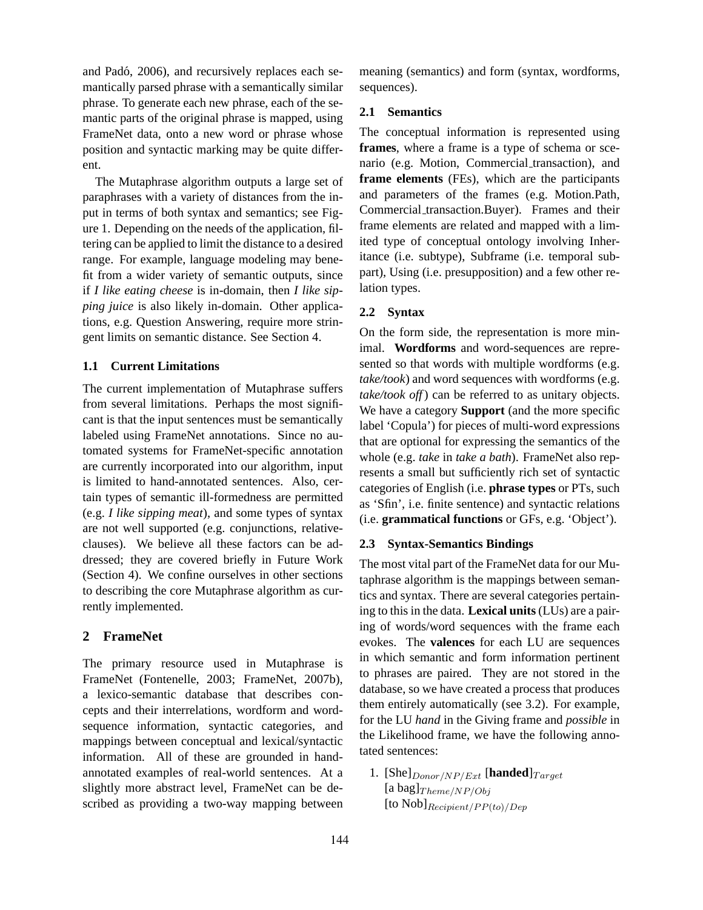and Padó, 2006), and recursively replaces each semantically parsed phrase with a semantically similar phrase. To generate each new phrase, each of the semantic parts of the original phrase is mapped, using FrameNet data, onto a new word or phrase whose position and syntactic marking may be quite different.

The Mutaphrase algorithm outputs a large set of paraphrases with a variety of distances from the input in terms of both syntax and semantics; see Figure 1. Depending on the needs of the application, filtering can be applied to limit the distance to a desired range. For example, language modeling may benefit from a wider variety of semantic outputs, since if *I like eating cheese* is in-domain, then *I like sipping juice* is also likely in-domain. Other applications, e.g. Question Answering, require more stringent limits on semantic distance. See Section 4.

# **1.1 Current Limitations**

The current implementation of Mutaphrase suffers from several limitations. Perhaps the most significant is that the input sentences must be semantically labeled using FrameNet annotations. Since no automated systems for FrameNet-specific annotation are currently incorporated into our algorithm, input is limited to hand-annotated sentences. Also, certain types of semantic ill-formedness are permitted (e.g. *I like sipping meat*), and some types of syntax are not well supported (e.g. conjunctions, relativeclauses). We believe all these factors can be addressed; they are covered briefly in Future Work (Section 4). We confine ourselves in other sections to describing the core Mutaphrase algorithm as currently implemented.

### **2 FrameNet**

The primary resource used in Mutaphrase is FrameNet (Fontenelle, 2003; FrameNet, 2007b), a lexico-semantic database that describes concepts and their interrelations, wordform and wordsequence information, syntactic categories, and mappings between conceptual and lexical/syntactic information. All of these are grounded in handannotated examples of real-world sentences. At a slightly more abstract level, FrameNet can be described as providing a two-way mapping between meaning (semantics) and form (syntax, wordforms, sequences).

#### **2.1 Semantics**

The conceptual information is represented using **frames**, where a frame is a type of schema or scenario (e.g. Motion, Commercial transaction), and **frame elements** (FEs), which are the participants and parameters of the frames (e.g. Motion.Path, Commercial transaction.Buyer). Frames and their frame elements are related and mapped with a limited type of conceptual ontology involving Inheritance (i.e. subtype), Subframe (i.e. temporal subpart), Using (i.e. presupposition) and a few other relation types.

### **2.2 Syntax**

On the form side, the representation is more minimal. **Wordforms** and word-sequences are represented so that words with multiple wordforms (e.g. *take/took*) and word sequences with wordforms (e.g. *take/took off*) can be referred to as unitary objects. We have a category **Support** (and the more specific label 'Copula') for pieces of multi-word expressions that are optional for expressing the semantics of the whole (e.g. *take* in *take a bath*). FrameNet also represents a small but sufficiently rich set of syntactic categories of English (i.e. **phrase types** or PTs, such as 'Sfin', i.e. finite sentence) and syntactic relations (i.e. **grammatical functions** or GFs, e.g. 'Object').

### **2.3 Syntax-Semantics Bindings**

The most vital part of the FrameNet data for our Mutaphrase algorithm is the mappings between semantics and syntax. There are several categories pertaining to this in the data. **Lexical units**(LUs) are a pairing of words/word sequences with the frame each evokes. The **valences** for each LU are sequences in which semantic and form information pertinent to phrases are paired. They are not stored in the database, so we have created a process that produces them entirely automatically (see 3.2). For example, for the LU *hand* in the Giving frame and *possible* in the Likelihood frame, we have the following annotated sentences:

1.  $[She]_{Donor/NP/Ext}$  [**handed**]<sub>Target</sub>  $[a$  bag] $_{The me/NP/Obj}$  $[$ to Nob] $_{Recimiento/PP(to)/Dep}$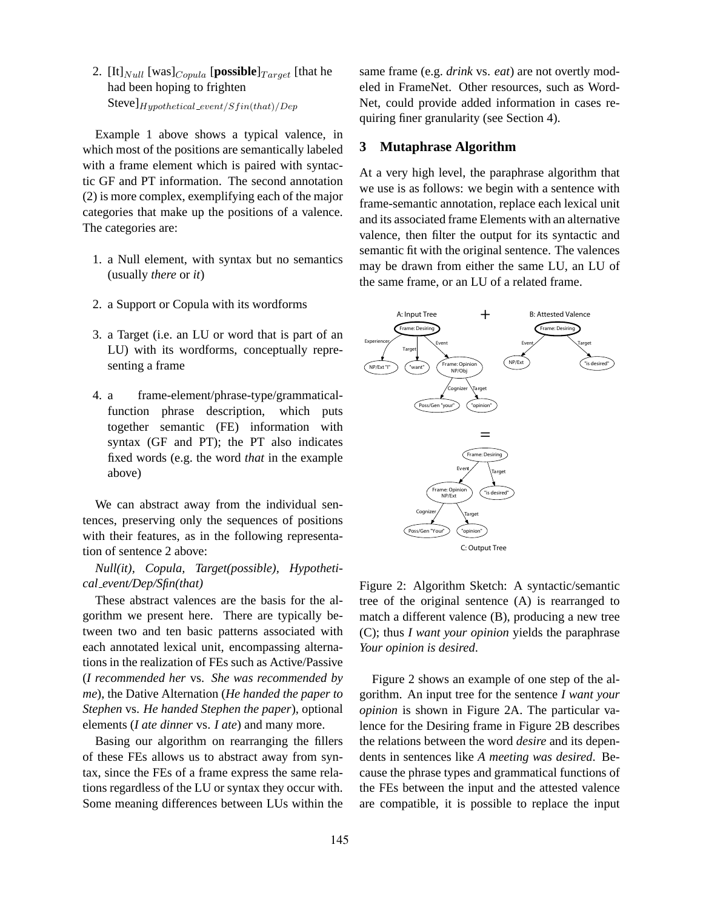2. [It]<sub>Null</sub> [was]<sub>Copula</sub> [**possible**] $_{Target}$  [that he had been hoping to frighten  $Steve]$ Hypothetical\_event/Sf in(that)/Dep

Example 1 above shows a typical valence, in which most of the positions are semantically labeled with a frame element which is paired with syntactic GF and PT information. The second annotation (2) is more complex, exemplifying each of the major categories that make up the positions of a valence. The categories are:

- 1. a Null element, with syntax but no semantics (usually *there* or *it*)
- 2. a Support or Copula with its wordforms
- 3. a Target (i.e. an LU or word that is part of an LU) with its wordforms, conceptually representing a frame
- 4. a frame-element/phrase-type/grammaticalfunction phrase description, which puts together semantic (FE) information with syntax (GF and PT); the PT also indicates fixed words (e.g. the word *that* in the example above)

We can abstract away from the individual sentences, preserving only the sequences of positions with their features, as in the following representation of sentence 2 above:

*Null(it), Copula, Target(possible), Hypothetical event/Dep/Sfin(that)*

These abstract valences are the basis for the algorithm we present here. There are typically between two and ten basic patterns associated with each annotated lexical unit, encompassing alternations in the realization of FEs such as Active/Passive (*I recommended her* vs. *She was recommended by me*), the Dative Alternation (*He handed the paper to Stephen* vs. *He handed Stephen the paper*), optional elements (*I ate dinner* vs. *I ate*) and many more.

Basing our algorithm on rearranging the fillers of these FEs allows us to abstract away from syntax, since the FEs of a frame express the same relations regardless of the LU or syntax they occur with. Some meaning differences between LUs within the same frame (e.g. *drink* vs. *eat*) are not overtly modeled in FrameNet. Other resources, such as Word-Net, could provide added information in cases requiring finer granularity (see Section 4).

### **3 Mutaphrase Algorithm**

At a very high level, the paraphrase algorithm that we use is as follows: we begin with a sentence with frame-semantic annotation, replace each lexical unit and its associated frame Elements with an alternative valence, then filter the output for its syntactic and semantic fit with the original sentence. The valences may be drawn from either the same LU, an LU of the same frame, or an LU of a related frame.



Figure 2: Algorithm Sketch: A syntactic/semantic tree of the original sentence (A) is rearranged to match a different valence (B), producing a new tree (C); thus *I want your opinion* yields the paraphrase *Your opinion is desired*.

Figure 2 shows an example of one step of the algorithm. An input tree for the sentence *I want your opinion* is shown in Figure 2A. The particular valence for the Desiring frame in Figure 2B describes the relations between the word *desire* and its dependents in sentences like *A meeting was desired*. Because the phrase types and grammatical functions of the FEs between the input and the attested valence are compatible, it is possible to replace the input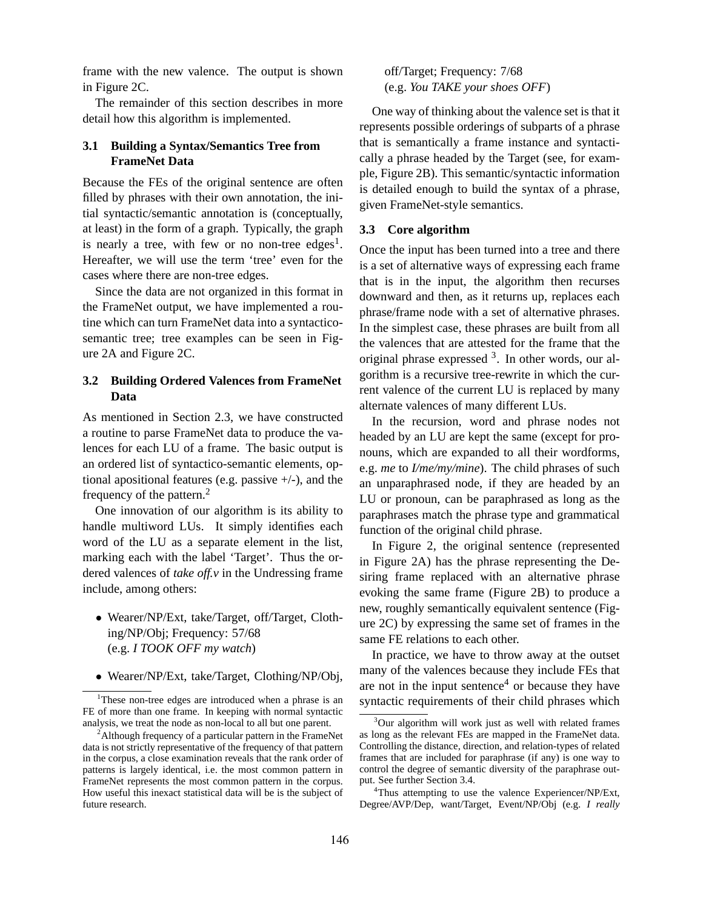frame with the new valence. The output is shown in Figure 2C.

The remainder of this section describes in more detail how this algorithm is implemented.

# **3.1 Building a Syntax/Semantics Tree from FrameNet Data**

Because the FEs of the original sentence are often filled by phrases with their own annotation, the initial syntactic/semantic annotation is (conceptually, at least) in the form of a graph. Typically, the graph is nearly a tree, with few or no non-tree edges<sup>1</sup>. Hereafter, we will use the term 'tree' even for the cases where there are non-tree edges.

Since the data are not organized in this format in the FrameNet output, we have implemented a routine which can turn FrameNet data into a syntacticosemantic tree; tree examples can be seen in Figure 2A and Figure 2C.

# **3.2 Building Ordered Valences from FrameNet Data**

As mentioned in Section 2.3, we have constructed a routine to parse FrameNet data to produce the valences for each LU of a frame. The basic output is an ordered list of syntactico-semantic elements, optional apositional features (e.g. passive  $+/-$ ), and the frequency of the pattern.<sup>2</sup>

One innovation of our algorithm is its ability to handle multiword LUs. It simply identifies each word of the LU as a separate element in the list, marking each with the label 'Target'. Thus the ordered valences of *take off.v* in the Undressing frame include, among others:

- Wearer/NP/Ext, take/Target, off/Target, Clothing/NP/Obj; Frequency: 57/68 (e.g. *I TOOK OFF my watch*)
- Wearer/NP/Ext, take/Target, Clothing/NP/Obj,

# off/Target; Frequency: 7/68 (e.g. *You TAKE your shoes OFF*)

One way of thinking about the valence set is that it represents possible orderings of subparts of a phrase that is semantically a frame instance and syntactically a phrase headed by the Target (see, for example, Figure 2B). This semantic/syntactic information is detailed enough to build the syntax of a phrase, given FrameNet-style semantics.

## **3.3 Core algorithm**

Once the input has been turned into a tree and there is a set of alternative ways of expressing each frame that is in the input, the algorithm then recurses downward and then, as it returns up, replaces each phrase/frame node with a set of alternative phrases. In the simplest case, these phrases are built from all the valences that are attested for the frame that the original phrase expressed <sup>3</sup>. In other words, our algorithm is a recursive tree-rewrite in which the current valence of the current LU is replaced by many alternate valences of many different LUs.

In the recursion, word and phrase nodes not headed by an LU are kept the same (except for pronouns, which are expanded to all their wordforms, e.g. *me* to *I/me/my/mine*). The child phrases of such an unparaphrased node, if they are headed by an LU or pronoun, can be paraphrased as long as the paraphrases match the phrase type and grammatical function of the original child phrase.

In Figure 2, the original sentence (represented in Figure 2A) has the phrase representing the Desiring frame replaced with an alternative phrase evoking the same frame (Figure 2B) to produce a new, roughly semantically equivalent sentence (Figure 2C) by expressing the same set of frames in the same FE relations to each other.

In practice, we have to throw away at the outset many of the valences because they include FEs that are not in the input sentence $4$  or because they have syntactic requirements of their child phrases which

<sup>&</sup>lt;sup>1</sup>These non-tree edges are introduced when a phrase is an FE of more than one frame. In keeping with normal syntactic analysis, we treat the node as non-local to all but one parent.

<sup>&</sup>lt;sup>2</sup>Although frequency of a particular pattern in the FrameNet data is not strictly representative of the frequency of that pattern in the corpus, a close examination reveals that the rank order of patterns is largely identical, i.e. the most common pattern in FrameNet represents the most common pattern in the corpus. How useful this inexact statistical data will be is the subject of future research.

<sup>&</sup>lt;sup>3</sup>Our algorithm will work just as well with related frames as long as the relevant FEs are mapped in the FrameNet data. Controlling the distance, direction, and relation-types of related frames that are included for paraphrase (if any) is one way to control the degree of semantic diversity of the paraphrase output. See further Section 3.4.

<sup>&</sup>lt;sup>4</sup>Thus attempting to use the valence Experiencer/NP/Ext, Degree/AVP/Dep, want/Target, Event/NP/Obj (e.g. *I really*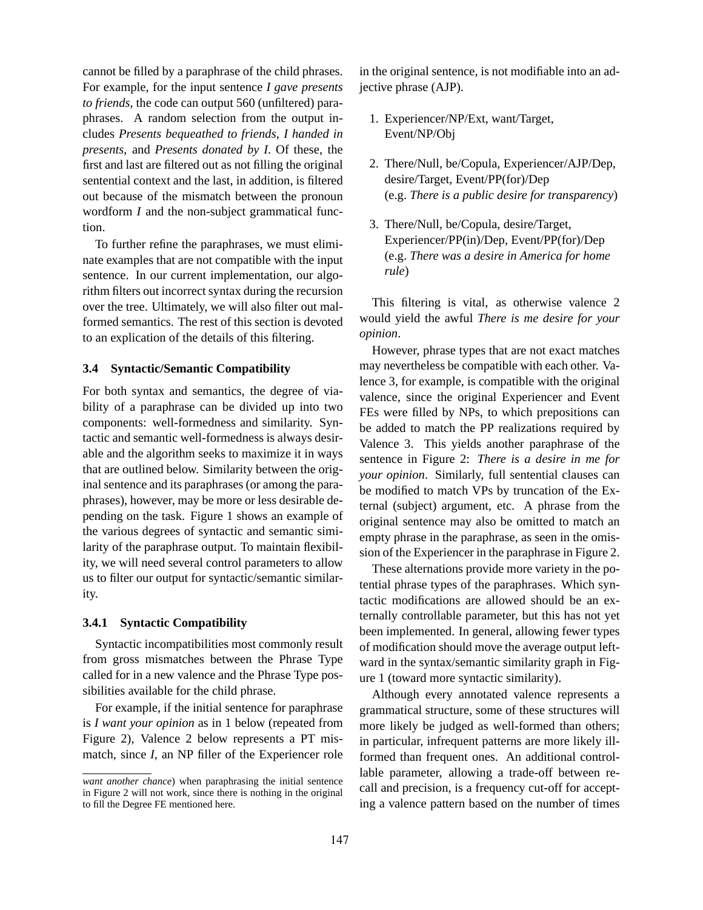cannot be filled by a paraphrase of the child phrases. For example, for the input sentence *I gave presents to friends*, the code can output 560 (unfiltered) paraphrases. A random selection from the output includes *Presents bequeathed to friends*, *I handed in presents*, and *Presents donated by I*. Of these, the first and last are filtered out as not filling the original sentential context and the last, in addition, is filtered out because of the mismatch between the pronoun wordform *I* and the non-subject grammatical function.

To further refine the paraphrases, we must eliminate examples that are not compatible with the input sentence. In our current implementation, our algorithm filters out incorrect syntax during the recursion over the tree. Ultimately, we will also filter out malformed semantics. The rest of this section is devoted to an explication of the details of this filtering.

### **3.4 Syntactic/Semantic Compatibility**

For both syntax and semantics, the degree of viability of a paraphrase can be divided up into two components: well-formedness and similarity. Syntactic and semantic well-formedness is always desirable and the algorithm seeks to maximize it in ways that are outlined below. Similarity between the original sentence and its paraphrases (or among the paraphrases), however, may be more or less desirable depending on the task. Figure 1 shows an example of the various degrees of syntactic and semantic similarity of the paraphrase output. To maintain flexibility, we will need several control parameters to allow us to filter our output for syntactic/semantic similarity.

#### **3.4.1 Syntactic Compatibility**

Syntactic incompatibilities most commonly result from gross mismatches between the Phrase Type called for in a new valence and the Phrase Type possibilities available for the child phrase.

For example, if the initial sentence for paraphrase is *I want your opinion* as in 1 below (repeated from Figure 2), Valence 2 below represents a PT mismatch, since *I*, an NP filler of the Experiencer role in the original sentence, is not modifiable into an adjective phrase (AJP).

- 1. Experiencer/NP/Ext, want/Target, Event/NP/Obj
- 2. There/Null, be/Copula, Experiencer/AJP/Dep, desire/Target, Event/PP(for)/Dep (e.g. *There is a public desire for transparency*)
- 3. There/Null, be/Copula, desire/Target, Experiencer/PP(in)/Dep, Event/PP(for)/Dep (e.g. *There was a desire in America for home rule*)

This filtering is vital, as otherwise valence 2 would yield the awful *There is me desire for your opinion*.

However, phrase types that are not exact matches may nevertheless be compatible with each other. Valence 3, for example, is compatible with the original valence, since the original Experiencer and Event FEs were filled by NPs, to which prepositions can be added to match the PP realizations required by Valence 3. This yields another paraphrase of the sentence in Figure 2: *There is a desire in me for your opinion*. Similarly, full sentential clauses can be modified to match VPs by truncation of the External (subject) argument, etc. A phrase from the original sentence may also be omitted to match an empty phrase in the paraphrase, as seen in the omission of the Experiencer in the paraphrase in Figure 2.

These alternations provide more variety in the potential phrase types of the paraphrases. Which syntactic modifications are allowed should be an externally controllable parameter, but this has not yet been implemented. In general, allowing fewer types of modification should move the average output leftward in the syntax/semantic similarity graph in Figure 1 (toward more syntactic similarity).

Although every annotated valence represents a grammatical structure, some of these structures will more likely be judged as well-formed than others; in particular, infrequent patterns are more likely illformed than frequent ones. An additional controllable parameter, allowing a trade-off between recall and precision, is a frequency cut-off for accepting a valence pattern based on the number of times

*want another chance*) when paraphrasing the initial sentence in Figure 2 will not work, since there is nothing in the original to fill the Degree FE mentioned here.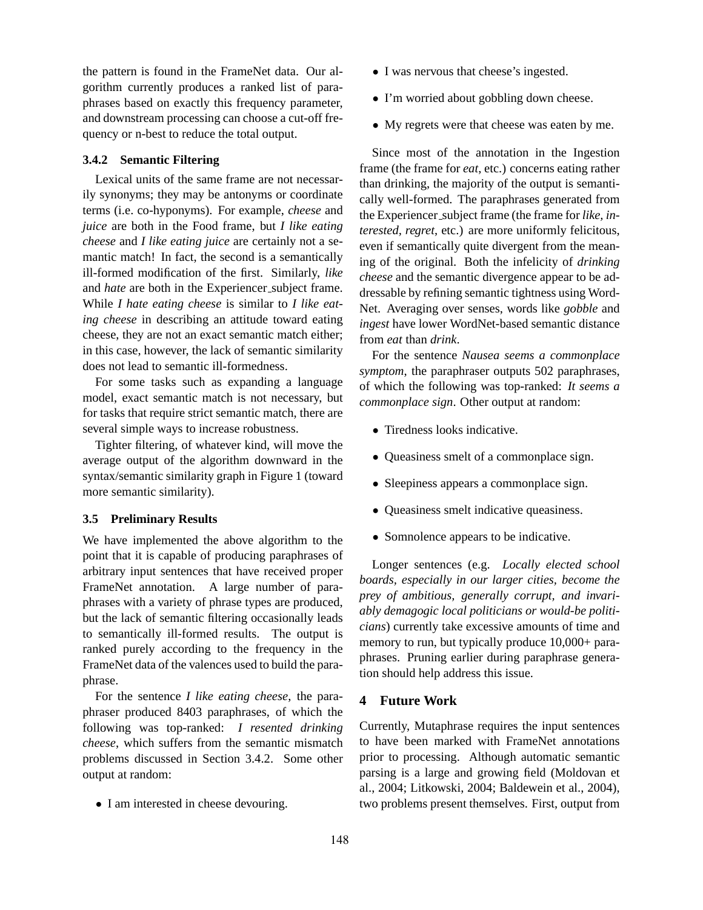the pattern is found in the FrameNet data. Our algorithm currently produces a ranked list of paraphrases based on exactly this frequency parameter, and downstream processing can choose a cut-off frequency or n-best to reduce the total output.

## **3.4.2 Semantic Filtering**

Lexical units of the same frame are not necessarily synonyms; they may be antonyms or coordinate terms (i.e. co-hyponyms). For example, *cheese* and *juice* are both in the Food frame, but *I like eating cheese* and *I like eating juice* are certainly not a semantic match! In fact, the second is a semantically ill-formed modification of the first. Similarly, *like* and *hate* are both in the Experiencer\_subject frame. While *I hate eating cheese* is similar to *I like eating cheese* in describing an attitude toward eating cheese, they are not an exact semantic match either; in this case, however, the lack of semantic similarity does not lead to semantic ill-formedness.

For some tasks such as expanding a language model, exact semantic match is not necessary, but for tasks that require strict semantic match, there are several simple ways to increase robustness.

Tighter filtering, of whatever kind, will move the average output of the algorithm downward in the syntax/semantic similarity graph in Figure 1 (toward more semantic similarity).

## **3.5 Preliminary Results**

We have implemented the above algorithm to the point that it is capable of producing paraphrases of arbitrary input sentences that have received proper FrameNet annotation. A large number of paraphrases with a variety of phrase types are produced, but the lack of semantic filtering occasionally leads to semantically ill-formed results. The output is ranked purely according to the frequency in the FrameNet data of the valences used to build the paraphrase.

For the sentence *I like eating cheese*, the paraphraser produced 8403 paraphrases, of which the following was top-ranked: *I resented drinking cheese*, which suffers from the semantic mismatch problems discussed in Section 3.4.2. Some other output at random:

• I am interested in cheese devouring.

- I was nervous that cheese's ingested.
- I'm worried about gobbling down cheese.
- My regrets were that cheese was eaten by me.

Since most of the annotation in the Ingestion frame (the frame for *eat*, etc.) concerns eating rather than drinking, the majority of the output is semantically well-formed. The paraphrases generated from the Experiencer subject frame (the frame for *like, interested, regret*, etc.) are more uniformly felicitous, even if semantically quite divergent from the meaning of the original. Both the infelicity of *drinking cheese* and the semantic divergence appear to be addressable by refining semantic tightness using Word-Net. Averaging over senses, words like *gobble* and *ingest* have lower WordNet-based semantic distance from *eat* than *drink*.

For the sentence *Nausea seems a commonplace symptom*, the paraphraser outputs 502 paraphrases, of which the following was top-ranked: *It seems a commonplace sign*. Other output at random:

- Tiredness looks indicative.
- Queasiness smelt of a commonplace sign.
- Sleepiness appears a commonplace sign.
- Queasiness smelt indicative queasiness.
- Somnolence appears to be indicative.

Longer sentences (e.g. *Locally elected school boards, especially in our larger cities, become the prey of ambitious, generally corrupt, and invariably demagogic local politicians or would-be politicians*) currently take excessive amounts of time and memory to run, but typically produce 10,000+ paraphrases. Pruning earlier during paraphrase generation should help address this issue.

# **4 Future Work**

Currently, Mutaphrase requires the input sentences to have been marked with FrameNet annotations prior to processing. Although automatic semantic parsing is a large and growing field (Moldovan et al., 2004; Litkowski, 2004; Baldewein et al., 2004), two problems present themselves. First, output from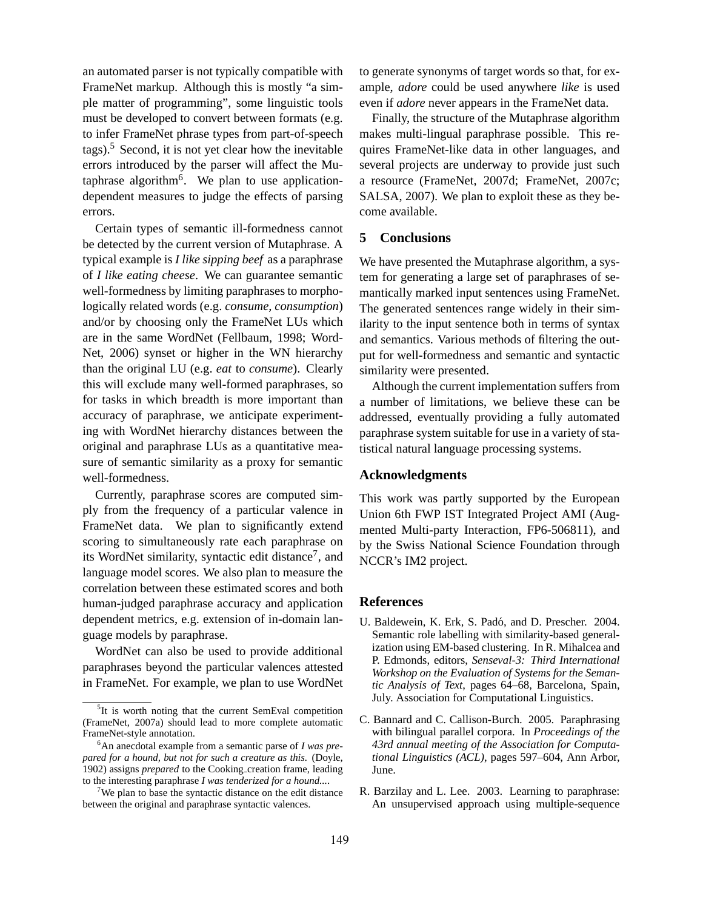an automated parser is not typically compatible with FrameNet markup. Although this is mostly "a simple matter of programming", some linguistic tools must be developed to convert between formats (e.g. to infer FrameNet phrase types from part-of-speech tags). $5$  Second, it is not yet clear how the inevitable errors introduced by the parser will affect the Mutaphrase algorithm<sup>6</sup>. We plan to use applicationdependent measures to judge the effects of parsing errors.

Certain types of semantic ill-formedness cannot be detected by the current version of Mutaphrase. A typical example is *I like sipping beef* as a paraphrase of *I like eating cheese*. We can guarantee semantic well-formedness by limiting paraphrases to morphologically related words (e.g. *consume, consumption*) and/or by choosing only the FrameNet LUs which are in the same WordNet (Fellbaum, 1998; Word-Net, 2006) synset or higher in the WN hierarchy than the original LU (e.g. *eat* to *consume*). Clearly this will exclude many well-formed paraphrases, so for tasks in which breadth is more important than accuracy of paraphrase, we anticipate experimenting with WordNet hierarchy distances between the original and paraphrase LUs as a quantitative measure of semantic similarity as a proxy for semantic well-formedness.

Currently, paraphrase scores are computed simply from the frequency of a particular valence in FrameNet data. We plan to significantly extend scoring to simultaneously rate each paraphrase on its WordNet similarity, syntactic edit distance<sup>7</sup>, and language model scores. We also plan to measure the correlation between these estimated scores and both human-judged paraphrase accuracy and application dependent metrics, e.g. extension of in-domain language models by paraphrase.

WordNet can also be used to provide additional paraphrases beyond the particular valences attested in FrameNet. For example, we plan to use WordNet to generate synonyms of target words so that, for example, *adore* could be used anywhere *like* is used even if *adore* never appears in the FrameNet data.

Finally, the structure of the Mutaphrase algorithm makes multi-lingual paraphrase possible. This requires FrameNet-like data in other languages, and several projects are underway to provide just such a resource (FrameNet, 2007d; FrameNet, 2007c; SALSA, 2007). We plan to exploit these as they become available.

# **5 Conclusions**

We have presented the Mutaphrase algorithm, a system for generating a large set of paraphrases of semantically marked input sentences using FrameNet. The generated sentences range widely in their similarity to the input sentence both in terms of syntax and semantics. Various methods of filtering the output for well-formedness and semantic and syntactic similarity were presented.

Although the current implementation suffers from a number of limitations, we believe these can be addressed, eventually providing a fully automated paraphrase system suitable for use in a variety of statistical natural language processing systems.

# **Acknowledgments**

This work was partly supported by the European Union 6th FWP IST Integrated Project AMI (Augmented Multi-party Interaction, FP6-506811), and by the Swiss National Science Foundation through NCCR's IM2 project.

#### **References**

- U. Baldewein, K. Erk, S. Padó, and D. Prescher. 2004. Semantic role labelling with similarity-based generalization using EM-based clustering. In R. Mihalcea and P. Edmonds, editors, *Senseval-3: Third International Workshop on the Evaluation of Systems for the Semantic Analysis of Text*, pages 64–68, Barcelona, Spain, July. Association for Computational Linguistics.
- C. Bannard and C. Callison-Burch. 2005. Paraphrasing with bilingual parallel corpora. In *Proceedings of the 43rd annual meeting of the Association for Computational Linguistics (ACL)*, pages 597–604, Ann Arbor, June.
- R. Barzilay and L. Lee. 2003. Learning to paraphrase: An unsupervised approach using multiple-sequence

<sup>&</sup>lt;sup>5</sup>It is worth noting that the current SemEval competition (FrameNet, 2007a) should lead to more complete automatic FrameNet-style annotation.

<sup>6</sup>An anecdotal example from a semantic parse of *I was prepared for a hound, but not for such a creature as this.* (Doyle, 1902) assigns *prepared* to the Cooking creation frame, leading to the interesting paraphrase *I was tenderized for a hound...*.

We plan to base the syntactic distance on the edit distance between the original and paraphrase syntactic valences.